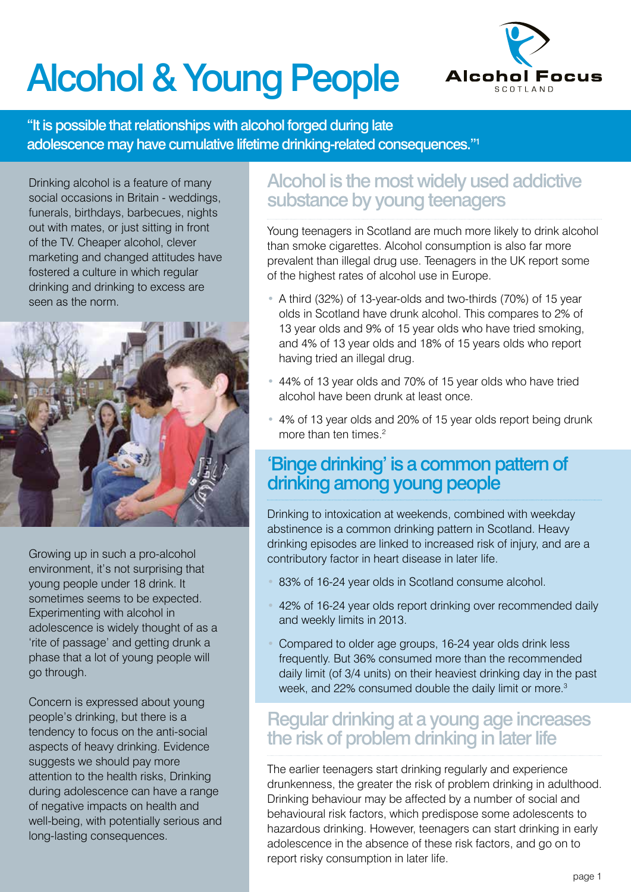# Alcohol & Young People



"It is possible that relationships with alcohol forged during late adolescence may have cumulative lifetime drinking-related consequences."1

Drinking alcohol is a feature of many social occasions in Britain - weddings, funerals, birthdays, barbecues, nights out with mates, or just sitting in front of the TV. Cheaper alcohol, clever marketing and changed attitudes have fostered a culture in which regular drinking and drinking to excess are seen as the norm.



Growing up in such a pro-alcohol environment, it's not surprising that young people under 18 drink. It sometimes seems to be expected. Experimenting with alcohol in adolescence is widely thought of as a 'rite of passage' and getting drunk a phase that a lot of young people will go through.

Concern is expressed about young people's drinking, but there is a tendency to focus on the anti-social aspects of heavy drinking. Evidence suggests we should pay more attention to the health risks, Drinking during adolescence can have a range of negative impacts on health and well-being, with potentially serious and long-lasting consequences.

# Alcohol is the most widely used addictive substance by young teenagers

Young teenagers in Scotland are much more likely to drink alcohol than smoke cigarettes. Alcohol consumption is also far more prevalent than illegal drug use. Teenagers in the UK report some of the highest rates of alcohol use in Europe.

- A third (32%) of 13-year-olds and two-thirds (70%) of 15 year olds in Scotland have drunk alcohol. This compares to 2% of 13 year olds and 9% of 15 year olds who have tried smoking, and 4% of 13 year olds and 18% of 15 years olds who report having tried an illegal drug.
- 44% of 13 year olds and 70% of 15 year olds who have tried alcohol have been drunk at least once.
- 4% of 13 year olds and 20% of 15 year olds report being drunk more than ten times.<sup>2</sup>

### 'Binge drinking' is a common pattern of drinking among young people

Drinking to intoxication at weekends, combined with weekday abstinence is a common drinking pattern in Scotland. Heavy drinking episodes are linked to increased risk of injury, and are a contributory factor in heart disease in later life.

- 83% of 16-24 year olds in Scotland consume alcohol.
- 42% of 16-24 year olds report drinking over recommended daily and weekly limits in 2013.
- Compared to older age groups, 16-24 year olds drink less frequently. But 36% consumed more than the recommended daily limit (of 3/4 units) on their heaviest drinking day in the past week, and 22% consumed double the daily limit or more.<sup>3</sup>

## Regular drinking at a young age increases the risk of problem drinking in later life

The earlier teenagers start drinking regularly and experience drunkenness, the greater the risk of problem drinking in adulthood. Drinking behaviour may be affected by a number of social and behavioural risk factors, which predispose some adolescents to hazardous drinking. However, teenagers can start drinking in early adolescence in the absence of these risk factors, and go on to report risky consumption in later life.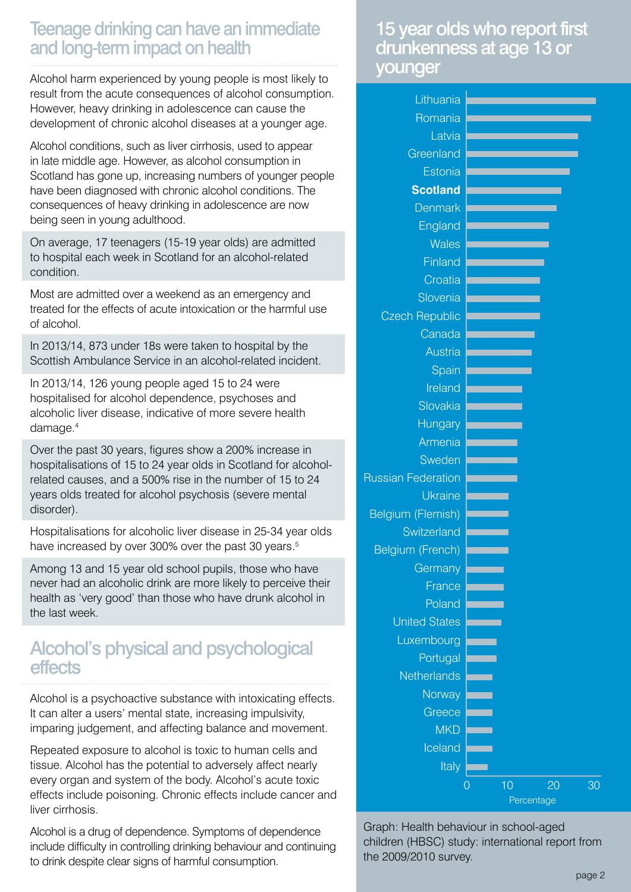### Teenage drinking can have an immediate and long-term impact on health

Alcohol harm experienced by young people is most likely to result from the acute consequences of alcohol consumption. However, heavy drinking in adolescence can cause the development of chronic alcohol diseases at a younger age.

Alcohol conditions, such as liver cirrhosis, used to appear in late middle age. However, as alcohol consumption in Scotland has gone up, increasing numbers of younger people have been diagnosed with chronic alcohol conditions. The consequences of heavy drinking in adolescence are now being seen in young adulthood.

On average, 17 teenagers (15-19 year olds) are admitted to hospital each week in Scotland for an alcohol-related condition.

Most are admitted over a weekend as an emergency and treated for the effects of acute intoxication or the harmful use of alcohol.

In 2013/14, 873 under 18s were taken to hospital by the Scottish Ambulance Service in an alcohol-related incident.

In 2013/14, 126 young people aged 15 to 24 were hospitalised for alcohol dependence, psychoses and alcoholic liver disease, indicative of more severe health damage.4

Over the past 30 years, figures show a 200% increase in hospitalisations of 15 to 24 year olds in Scotland for alcoholrelated causes, and a 500% rise in the number of 15 to 24 years olds treated for alcohol psychosis (severe mental disorder).

Hospitalisations for alcoholic liver disease in 25-34 year olds have increased by over 300% over the past 30 years.<sup>5</sup>

Among 13 and 15 year old school pupils, those who have never had an alcoholic drink are more likely to perceive their health as 'very good' than those who have drunk alcohol in the last week.

### Alcohol's physical and psychological effects

Alcohol is a psychoactive substance with intoxicating effects. It can alter a users' mental state, increasing impulsivity, imparing judgement, and affecting balance and movement.

Repeated exposure to alcohol is toxic to human cells and tissue. Alcohol has the potential to adversely affect nearly every organ and system of the body. Alcohol's acute toxic effects include poisoning. Chronic effects include cancer and liver cirrhosis.

Alcohol is a drug of dependence. Symptoms of dependence include difficulty in controlling drinking behaviour and continuing to drink despite clear signs of harmful consumption.

#### 15 year olds who report first drunkenness at age 13 or younger

| Lithuania                 |   |    |  |    |    |
|---------------------------|---|----|--|----|----|
| Romania                   |   |    |  |    |    |
| Latvia                    |   |    |  |    |    |
| Greenland                 |   |    |  |    |    |
| Estonia                   |   |    |  |    |    |
| <b>Scotland</b>           |   |    |  |    |    |
| <b>Denmark</b>            |   |    |  |    |    |
| England                   |   |    |  |    |    |
| <b>Wales</b>              |   |    |  |    |    |
| <b>Finland</b>            |   |    |  |    |    |
| Croatia                   |   |    |  |    |    |
| Slovenia                  |   |    |  |    |    |
| <b>Czech Republic</b>     |   |    |  |    |    |
| Canada                    |   |    |  |    |    |
| <b>Austria</b>            |   |    |  |    |    |
| Spain                     |   |    |  |    |    |
| Ireland                   |   |    |  |    |    |
| Slovakia                  |   |    |  |    |    |
| <b>Hungary</b>            |   |    |  |    |    |
| Armenia                   |   |    |  |    |    |
| Sweden                    |   |    |  |    |    |
| <b>Russian Federation</b> |   |    |  |    |    |
| <b>Ukraine</b>            |   |    |  |    |    |
| Belgium (Flemish)         |   |    |  |    |    |
| Switzerland               |   |    |  |    |    |
| Belgium (French)          |   |    |  |    |    |
| Germany                   |   |    |  |    |    |
| France                    |   |    |  |    |    |
| Poland                    |   |    |  |    |    |
| <b>United States</b>      |   |    |  |    |    |
| Luxembourg                |   |    |  |    |    |
| Portugal                  |   |    |  |    |    |
| Netherlands               |   |    |  |    |    |
| Norway                    |   |    |  |    |    |
| Greece                    |   |    |  |    |    |
| <b>MKD</b>                |   |    |  |    |    |
| Iceland                   |   |    |  |    |    |
| Italy                     |   |    |  |    |    |
|                           | 0 | 10 |  | 20 | 30 |
| Percentage                |   |    |  |    |    |

Graph: Health behaviour in school-aged children (HBSC) study: international report from the 2009/2010 survey.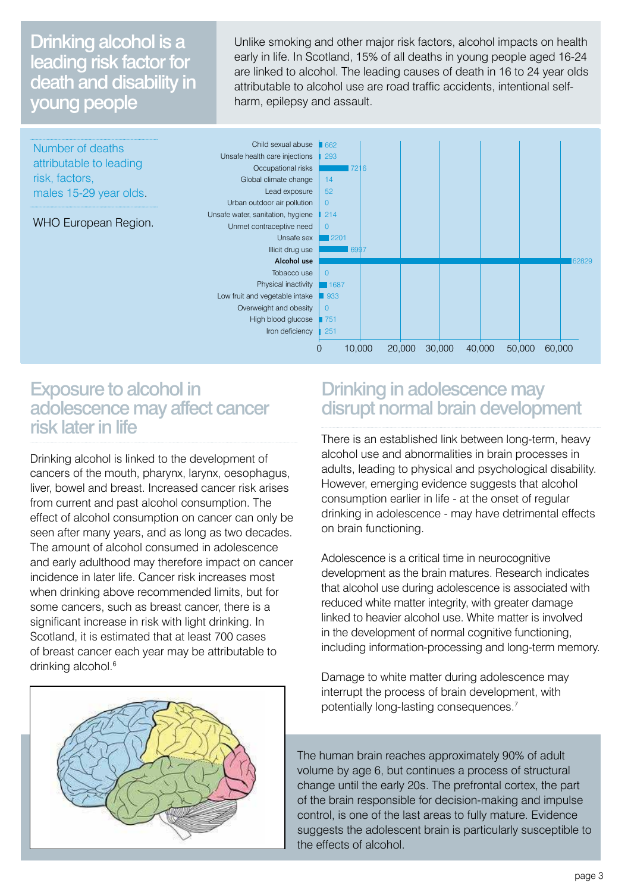### Drinking alcohol is a leading risk factor for death and disability in young people

Unlike smoking and other major risk factors, alcohol impacts on health early in life. In Scotland, 15% of all deaths in young people aged 16-24 are linked to alcohol. The leading causes of death in 16 to 24 year olds attributable to alcohol use are road traffic accidents, intentional selfharm, epilepsy and assault.



#### Exposure to alcohol in adolescence may affect cancer risk later in life

Drinking alcohol is linked to the development of cancers of the mouth, pharynx, larynx, oesophagus, liver, bowel and breast. Increased cancer risk arises from current and past alcohol consumption. The effect of alcohol consumption on cancer can only be seen after many years, and as long as two decades. The amount of alcohol consumed in adolescence and early adulthood may therefore impact on cancer incidence in later life. Cancer risk increases most when drinking above recommended limits, but for some cancers, such as breast cancer, there is a significant increase in risk with light drinking. In Scotland, it is estimated that at least 700 cases of breast cancer each year may be attributable to drinking alcohol.<sup>6</sup>



#### Drinking in adolescence may disrupt normal brain development

There is an established link between long-term, heavy alcohol use and abnormalities in brain processes in adults, leading to physical and psychological disability. However, emerging evidence suggests that alcohol consumption earlier in life - at the onset of regular drinking in adolescence - may have detrimental effects on brain functioning.

Adolescence is a critical time in neurocognitive development as the brain matures. Research indicates that alcohol use during adolescence is associated with reduced white matter integrity, with greater damage linked to heavier alcohol use. White matter is involved in the development of normal cognitive functioning, including information-processing and long-term memory.

Damage to white matter during adolescence may interrupt the process of brain development, with potentially long-lasting consequences.<sup>7</sup>

The human brain reaches approximately 90% of adult volume by age 6, but continues a process of structural change until the early 20s. The prefrontal cortex, the part of the brain responsible for decision-making and impulse control, is one of the last areas to fully mature. Evidence suggests the adolescent brain is particularly susceptible to the effects of alcohol.